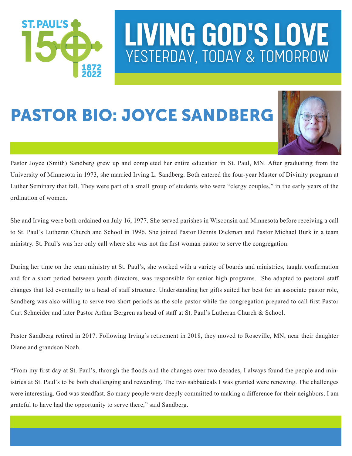

#### PASTOR BIO: JOYCE SANDBERG



Pastor Joyce (Smith) Sandberg grew up and completed her entire education in St. Paul, MN. After graduating from the University of Minnesota in 1973, she married Irving L. Sandberg. Both entered the four-year Master of Divinity program at Luther Seminary that fall. They were part of a small group of students who were "clergy couples," in the early years of the ordination of women.

She and Irving were both ordained on July 16, 1977. She served parishes in Wisconsin and Minnesota before receiving a call to St. Paul's Lutheran Church and School in 1996. She joined Pastor Dennis Dickman and Pastor Michael Burk in a team ministry. St. Paul's was her only call where she was not the first woman pastor to serve the congregation.

During her time on the team ministry at St. Paul's, she worked with a variety of boards and ministries, taught confirmation and for a short period between youth directors, was responsible for senior high programs. She adapted to pastoral staff changes that led eventually to a head of staff structure. Understanding her gifts suited her best for an associate pastor role, Sandberg was also willing to serve two short periods as the sole pastor while the congregation prepared to call first Pastor Curt Schneider and later Pastor Arthur Bergren as head of staff at St. Paul's Lutheran Church & School.

Pastor Sandberg retired in 2017. Following Irving's retirement in 2018, they moved to Roseville, MN, near their daughter Diane and grandson Noah.

"From my first day at St. Paul's, through the floods and the changes over two decades, I always found the people and ministries at St. Paul's to be both challenging and rewarding. The two sabbaticals I was granted were renewing. The challenges were interesting. God was steadfast. So many people were deeply committed to making a difference for their neighbors. I am grateful to have had the opportunity to serve there," said Sandberg.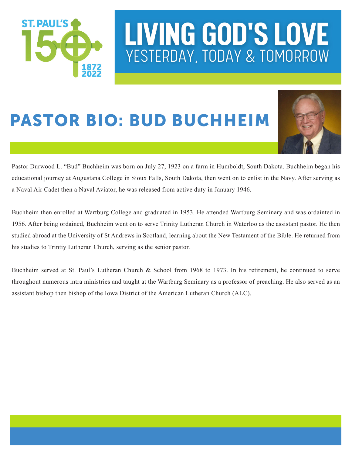

#### PASTOR BIO: BUD BUCHHEIM



Pastor Durwood L. "Bud" Buchheim was born on July 27, 1923 on a farm in Humboldt, South Dakota. Buchheim began his educational journey at Augustana College in Sioux Falls, South Dakota, then went on to enlist in the Navy. After serving as a Naval Air Cadet then a Naval Aviator, he was released from active duty in January 1946.

Buchheim then enrolled at Wartburg College and graduated in 1953. He attended Wartburg Seminary and was ordainted in 1956. After being ordained, Buchheim went on to serve Trinity Lutheran Church in Waterloo as the assistant pastor. He then studied abroad at the University of St Andrews in Scotland, learning about the New Testament of the Bible. He returned from his studies to Trintiy Lutheran Church, serving as the senior pastor.

Buchheim served at St. Paul's Lutheran Church & School from 1968 to 1973. In his retirement, he continued to serve throughout numerous intra ministries and taught at the Wartburg Seminary as a professor of preaching. He also served as an assistant bishop then bishop of the Iowa District of the American Lutheran Church (ALC).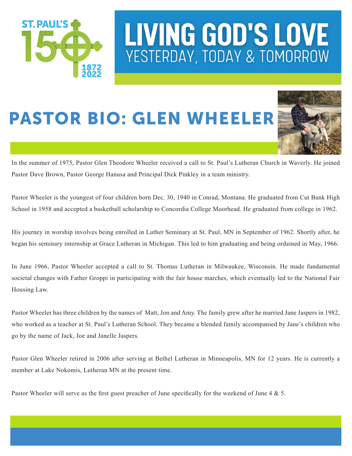

#### PASTOR BIO: GLEN WHEELER



In the summer of 1975, Pastor Glen Theodore Wheeler received a call to St. Paul's Lutheran Church in Waverly. He joined Pastor Dave Brown, Pastor George Hanusa and Principal Dick Pinkley in a team ministry.

Pastor Wheeler is the youngest of four children born Dec. 30, 1940 in Conrad, Montana. He graduated from Cut Bank High School in 1958 and accepted a basketball scholarship to Concordia College Moorhead. He graduated from college in 1962.

His journey in worship involves being enrolled in Luther Seminary at St. Paul, MN in September of 1962. Shortly after, he began his seminary internship at Grace Lutheran in Michigan. This led to him graduating and being ordained in May, 1966.

In June 1966, Pastor Wheeler accepted a call to St. Thomas Lutheran in Milwaukee, Wisconsin. He made fundamental societal changes with Father Groppi in participating with the fair house marches, which eventually led to the National Fair Housing Law.

Pastor Wheeler has three children by the names of Matt, Jon and Amy. The family grew after he married Jane Jaspers in 1982, who worked as a teacher at St. Paul's Lutheran School. They became a blended family accompanied by Jane's children who go by the name of Jack, Joe and Janelle Jaspers.

Pastor Glen Wheeler retired in 2006 after serving at Bethel Lutheran in Minneapolis, MN for 12 years. He is currently a member at Lake Nokomis, Lutheran MN at the present time.

Pastor Wheeler will serve as the first guest preacher of June specifically for the weekend of June 4 & 5.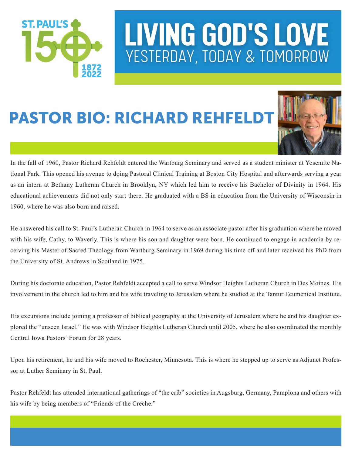

#### PASTOR BIO: RICHARD REHFELDT



In the fall of 1960, Pastor Richard Rehfeldt entered the Wartburg Seminary and served as a student minister at Yosemite National Park. This opened his avenue to doing Pastoral Clinical Training at Boston City Hospital and afterwards serving a year as an intern at Bethany Lutheran Church in Brooklyn, NY which led him to receive his Bachelor of Divinity in 1964. His educational achievements did not only start there. He graduated with a BS in education from the University of Wisconsin in 1960, where he was also born and raised.

He answered his call to St. Paul's Lutheran Church in 1964 to serve as an associate pastor after his graduation where he moved with his wife, Cathy, to Waverly. This is where his son and daughter were born. He continued to engage in academia by receiving his Master of Sacred Theology from Wartburg Seminary in 1969 during his time off and later received his PhD from the University of St. Andrews in Scotland in 1975.

During his doctorate education, Pastor Rehfeldt accepted a call to serve Windsor Heights Lutheran Church in Des Moines. His involvement in the church led to him and his wife traveling to Jerusalem where he studied at the Tantur Ecumenical Institute.

His excursions include joining a professor of biblical geography at the University of Jerusalem where he and his daughter explored the "unseen Israel." He was with Windsor Heights Lutheran Church until 2005, where he also coordinated the monthly Central Iowa Pastors' Forum for 28 years.

Upon his retirement, he and his wife moved to Rochester, Minnesota. This is where he stepped up to serve as Adjunct Professor at Luther Seminary in St. Paul.

Pastor Rehfeldt has attended international gatherings of "the crib" societies in Augsburg, Germany, Pamplona and others with his wife by being members of "Friends of the Creche."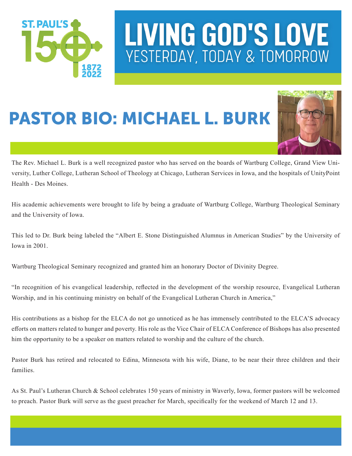

#### PASTOR BIO: MICHAEL L. BURK



The Rev. Michael L. Burk is a well recognized pastor who has served on the boards of Wartburg College, Grand View University, Luther College, Lutheran School of Theology at Chicago, Lutheran Services in Iowa, and the hospitals of UnityPoint Health - Des Moines.

His academic achievements were brought to life by being a graduate of Wartburg College, Wartburg Theological Seminary and the University of Iowa.

This led to Dr. Burk being labeled the "Albert E. Stone Distinguished Alumnus in American Studies" by the University of Iowa in 2001.

Wartburg Theological Seminary recognized and granted him an honorary Doctor of Divinity Degree.

"In recognition of his evangelical leadership, reflected in the development of the worship resource, Evangelical Lutheran Worship, and in his continuing ministry on behalf of the Evangelical Lutheran Church in America,"

His contributions as a bishop for the ELCA do not go unnoticed as he has immensely contributed to the ELCA'S advocacy efforts on matters related to hunger and poverty. His role as the Vice Chair of ELCA Conference of Bishops has also presented him the opportunity to be a speaker on matters related to worship and the culture of the church.

Pastor Burk has retired and relocated to Edina, Minnesota with his wife, Diane, to be near their three children and their families.

As St. Paul's Lutheran Church & School celebrates 150 years of ministry in Waverly, Iowa, former pastors will be welcomed to preach. Pastor Burk will serve as the guest preacher for March, specifically for the weekend of March 12 and 13.